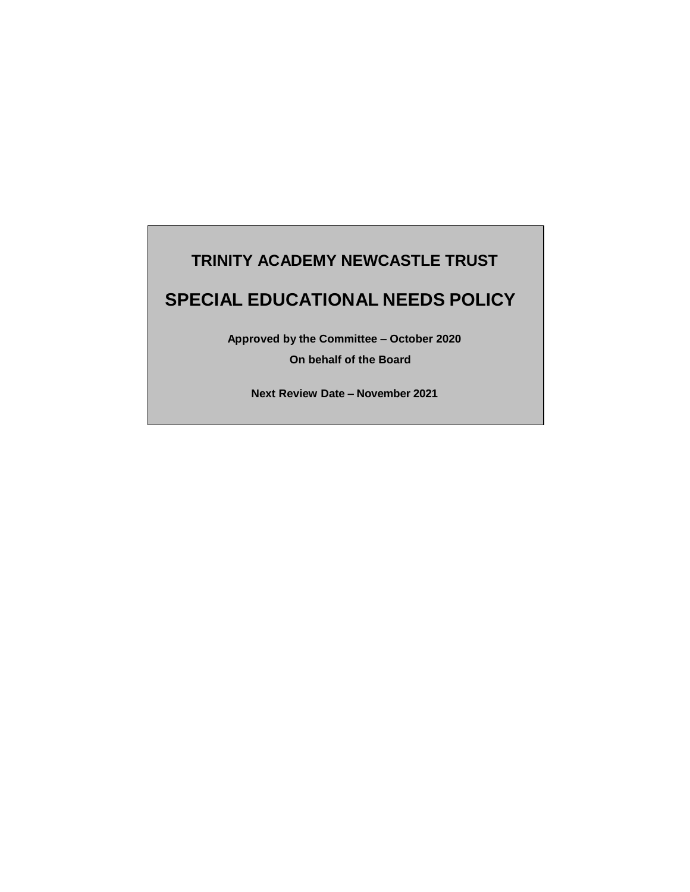# **TRINITY ACADEMY NEWCASTLE TRUST**

# **SPECIAL EDUCATIONAL NEEDS POLICY**

**Approved by the Committee – October 2020**

**On behalf of the Board**

**Next Review Date – November 2021**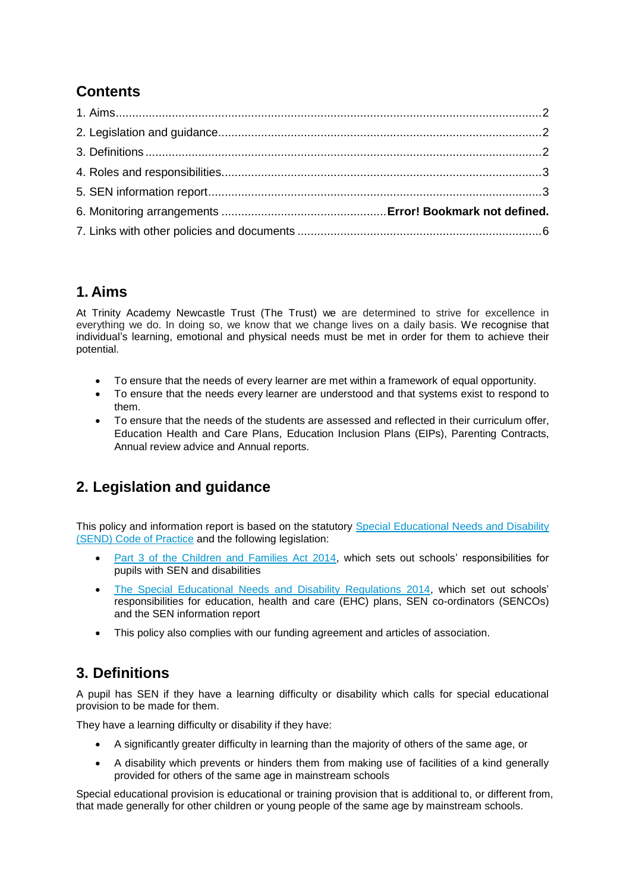## **Contents**

## **1. Aims**

At Trinity Academy Newcastle Trust (The Trust) we are determined to strive for excellence in everything we do. In doing so, we know that we change lives on a daily basis. We recognise that individual's learning, emotional and physical needs must be met in order for them to achieve their potential.

- To ensure that the needs of every learner are met within a framework of equal opportunity.
- To ensure that the needs every learner are understood and that systems exist to respond to them.
- To ensure that the needs of the students are assessed and reflected in their curriculum offer, Education Health and Care Plans, Education Inclusion Plans (EIPs), Parenting Contracts, Annual review advice and Annual reports.

## **2. Legislation and guidance**

This policy and information report is based on the statutory [Special Educational Needs and Disability](https://www.gov.uk/government/uploads/system/uploads/attachment_data/file/398815/SEND_Code_of_Practice_January_2015.pdf)  [\(SEND\) Code of Practice](https://www.gov.uk/government/uploads/system/uploads/attachment_data/file/398815/SEND_Code_of_Practice_January_2015.pdf) and the following legislation:

- [Part 3 of the Children and Families Act 2014,](http://www.legislation.gov.uk/ukpga/2014/6/part/3) which sets out schools' responsibilities for pupils with SEN and disabilities
- [The Special Educational Needs and Disability Regulations 2014,](http://www.legislation.gov.uk/uksi/2014/1530/contents/made) which set out schools' responsibilities for education, health and care (EHC) plans, SEN co-ordinators (SENCOs) and the SEN information report
- This policy also complies with our funding agreement and articles of association.

## **3. Definitions**

A pupil has SEN if they have a learning difficulty or disability which calls for special educational provision to be made for them.

They have a learning difficulty or disability if they have:

- A significantly greater difficulty in learning than the majority of others of the same age, or
- A disability which prevents or hinders them from making use of facilities of a kind generally provided for others of the same age in mainstream schools

Special educational provision is educational or training provision that is additional to, or different from, that made generally for other children or young people of the same age by mainstream schools.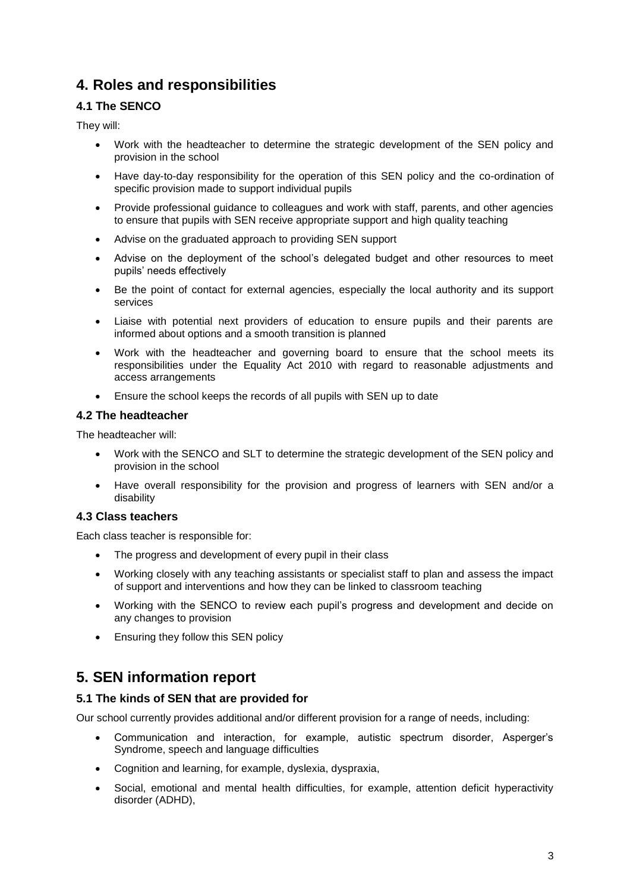## **4. Roles and responsibilities**

## **4.1 The SENCO**

They will:

- Work with the headteacher to determine the strategic development of the SEN policy and provision in the school
- Have day-to-day responsibility for the operation of this SEN policy and the co-ordination of specific provision made to support individual pupils
- Provide professional guidance to colleagues and work with staff, parents, and other agencies to ensure that pupils with SEN receive appropriate support and high quality teaching
- Advise on the graduated approach to providing SEN support
- Advise on the deployment of the school's delegated budget and other resources to meet pupils' needs effectively
- Be the point of contact for external agencies, especially the local authority and its support services
- Liaise with potential next providers of education to ensure pupils and their parents are informed about options and a smooth transition is planned
- Work with the headteacher and governing board to ensure that the school meets its responsibilities under the Equality Act 2010 with regard to reasonable adjustments and access arrangements
- Ensure the school keeps the records of all pupils with SEN up to date

### **4.2 The headteacher**

The headteacher will:

- Work with the SENCO and SLT to determine the strategic development of the SEN policy and provision in the school
- Have overall responsibility for the provision and progress of learners with SEN and/or a disability

### **4.3 Class teachers**

Each class teacher is responsible for:

- The progress and development of every pupil in their class
- Working closely with any teaching assistants or specialist staff to plan and assess the impact of support and interventions and how they can be linked to classroom teaching
- Working with the SENCO to review each pupil's progress and development and decide on any changes to provision
- Ensuring they follow this SEN policy

## **5. SEN information report**

#### **5.1 The kinds of SEN that are provided for**

Our school currently provides additional and/or different provision for a range of needs, including:

- Communication and interaction, for example, autistic spectrum disorder, Asperger's Syndrome, speech and language difficulties
- Cognition and learning, for example, dyslexia, dyspraxia,
- Social, emotional and mental health difficulties, for example, attention deficit hyperactivity disorder (ADHD),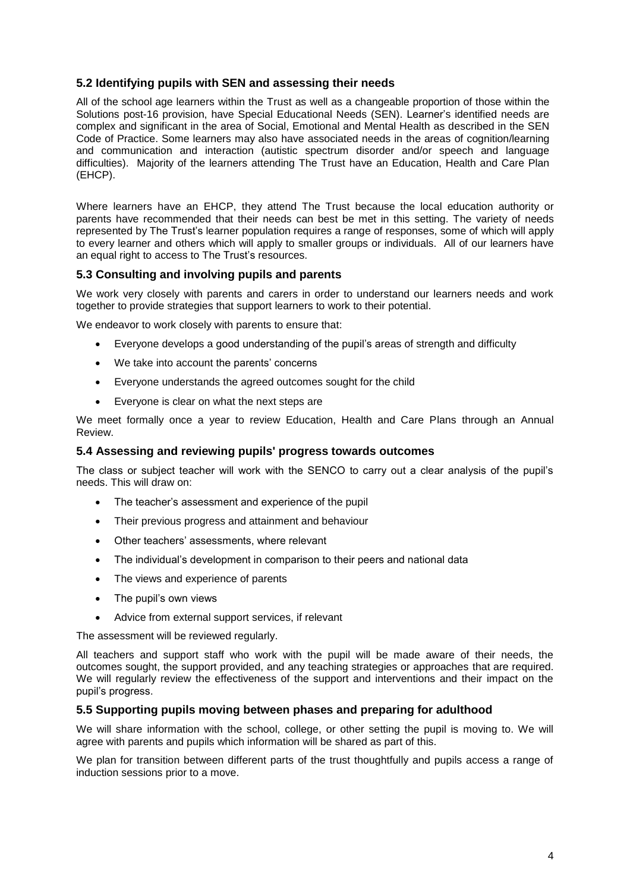### **5.2 Identifying pupils with SEN and assessing their needs**

All of the school age learners within the Trust as well as a changeable proportion of those within the Solutions post-16 provision, have Special Educational Needs (SEN). Learner's identified needs are complex and significant in the area of Social, Emotional and Mental Health as described in the SEN Code of Practice. Some learners may also have associated needs in the areas of cognition/learning and communication and interaction (autistic spectrum disorder and/or speech and language difficulties). Majority of the learners attending The Trust have an Education, Health and Care Plan (EHCP).

Where learners have an EHCP, they attend The Trust because the local education authority or parents have recommended that their needs can best be met in this setting. The variety of needs represented by The Trust's learner population requires a range of responses, some of which will apply to every learner and others which will apply to smaller groups or individuals. All of our learners have an equal right to access to The Trust's resources.

#### **5.3 Consulting and involving pupils and parents**

We work very closely with parents and carers in order to understand our learners needs and work together to provide strategies that support learners to work to their potential.

We endeavor to work closely with parents to ensure that:

- Everyone develops a good understanding of the pupil's areas of strength and difficulty
- We take into account the parents' concerns
- Everyone understands the agreed outcomes sought for the child
- Everyone is clear on what the next steps are

We meet formally once a year to review Education, Health and Care Plans through an Annual Review.

#### **5.4 Assessing and reviewing pupils' progress towards outcomes**

The class or subject teacher will work with the SENCO to carry out a clear analysis of the pupil's needs. This will draw on:

- The teacher's assessment and experience of the pupil
- Their previous progress and attainment and behaviour
- Other teachers' assessments, where relevant
- The individual's development in comparison to their peers and national data
- The views and experience of parents
- The pupil's own views
- Advice from external support services, if relevant

The assessment will be reviewed regularly.

All teachers and support staff who work with the pupil will be made aware of their needs, the outcomes sought, the support provided, and any teaching strategies or approaches that are required. We will regularly review the effectiveness of the support and interventions and their impact on the pupil's progress.

#### **5.5 Supporting pupils moving between phases and preparing for adulthood**

We will share information with the school, college, or other setting the pupil is moving to. We will agree with parents and pupils which information will be shared as part of this.

We plan for transition between different parts of the trust thoughtfully and pupils access a range of induction sessions prior to a move.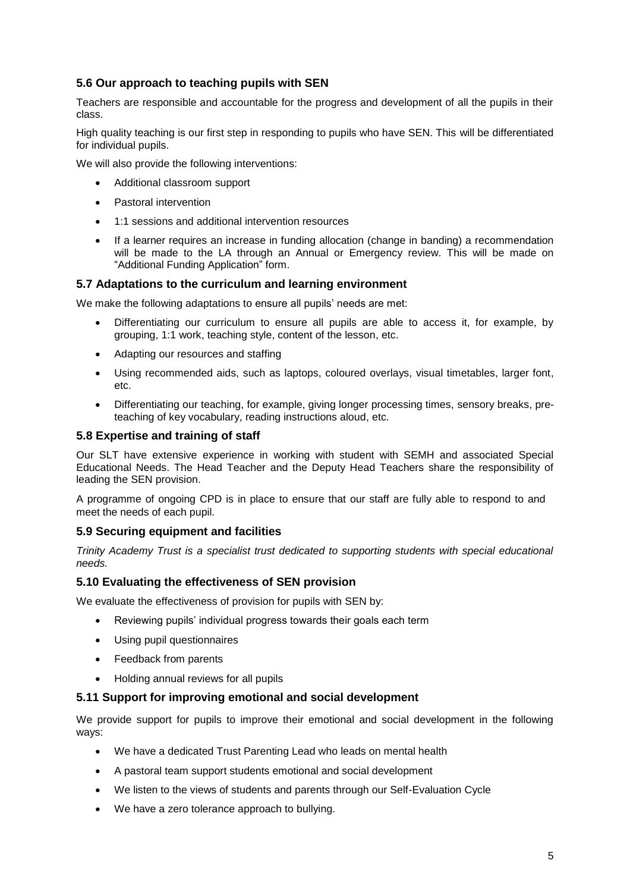### **5.6 Our approach to teaching pupils with SEN**

Teachers are responsible and accountable for the progress and development of all the pupils in their class.

High quality teaching is our first step in responding to pupils who have SEN. This will be differentiated for individual pupils.

We will also provide the following interventions:

- Additional classroom support
- Pastoral intervention
- 1:1 sessions and additional intervention resources
- If a learner requires an increase in funding allocation (change in banding) a recommendation will be made to the LA through an Annual or Emergency review. This will be made on "Additional Funding Application" form.

#### **5.7 Adaptations to the curriculum and learning environment**

We make the following adaptations to ensure all pupils' needs are met:

- Differentiating our curriculum to ensure all pupils are able to access it, for example, by grouping, 1:1 work, teaching style, content of the lesson, etc.
- Adapting our resources and staffing
- Using recommended aids, such as laptops, coloured overlays, visual timetables, larger font, etc.
- Differentiating our teaching, for example, giving longer processing times, sensory breaks, preteaching of key vocabulary, reading instructions aloud, etc.

#### **5.8 Expertise and training of staff**

Our SLT have extensive experience in working with student with SEMH and associated Special Educational Needs. The Head Teacher and the Deputy Head Teachers share the responsibility of leading the SEN provision.

A programme of ongoing CPD is in place to ensure that our staff are fully able to respond to and meet the needs of each pupil.

#### **5.9 Securing equipment and facilities**

*Trinity Academy Trust is a specialist trust dedicated to supporting students with special educational needs.* 

#### **5.10 Evaluating the effectiveness of SEN provision**

We evaluate the effectiveness of provision for pupils with SEN by:

- Reviewing pupils' individual progress towards their goals each term
- Using pupil questionnaires
- Feedback from parents
- Holding annual reviews for all pupils

#### **5.11 Support for improving emotional and social development**

We provide support for pupils to improve their emotional and social development in the following ways:

- We have a dedicated Trust Parenting Lead who leads on mental health
- A pastoral team support students emotional and social development
- We listen to the views of students and parents through our Self-Evaluation Cycle
- We have a zero tolerance approach to bullying.